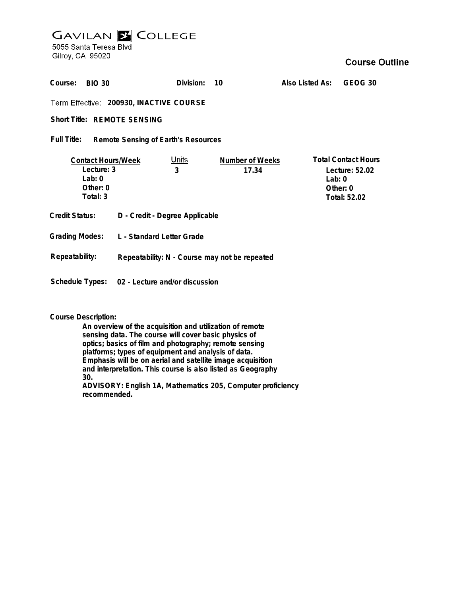## **GAVILAN Z COLLEGE** 5055 Santa Teresa Blvd

Gilroy, CA 95020

| Course:<br><b>BIO 30</b>                                                      |                                               | Division:         | 10                              | Also Listed As: | GEOG 30                                                                    |
|-------------------------------------------------------------------------------|-----------------------------------------------|-------------------|---------------------------------|-----------------|----------------------------------------------------------------------------|
| Term Effective: 200930, INACTIVE COURSE                                       |                                               |                   |                                 |                 |                                                                            |
| <b>Short Title: REMOTE SENSING</b>                                            |                                               |                   |                                 |                 |                                                                            |
| Full Title:<br>Remote Sensing of Earth's Resources                            |                                               |                   |                                 |                 |                                                                            |
| <b>Contact Hours/Week</b><br>Lecture: 3<br>Lab: $0$<br>Other: $0$<br>Total: 3 |                                               | <u>Units</u><br>3 | <b>Number of Weeks</b><br>17.34 | Lab: $0$        | <b>Total Contact Hours</b><br>Lecture: 52.02<br>Other: $0$<br>Total: 52.02 |
| Credit Status:                                                                | D - Credit - Degree Applicable                |                   |                                 |                 |                                                                            |
| <b>Grading Modes:</b>                                                         | L - Standard Letter Grade                     |                   |                                 |                 |                                                                            |
| Repeatability:                                                                | Repeatability: N - Course may not be repeated |                   |                                 |                 |                                                                            |
| Schedule Types:<br>02 - Lecture and/or discussion                             |                                               |                   |                                 |                 |                                                                            |

## **Course Description:**

**An overview of the acquisition and utilization of remote sensing data. The course will cover basic physics of optics; basics of film and photography; remote sensing platforms; types of equipment and analysis of data. Emphasis will be on aerial and satellite image acquisition and interpretation. This course is also listed as Geography 30. ADVISORY: English 1A, Mathematics 205, Computer proficiency recommended.**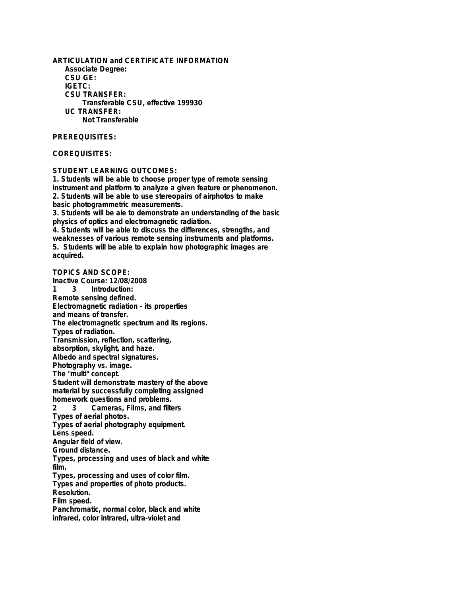**ARTICULATION and CERTIFICATE INFORMATION Associate Degree: CSU GE: IGETC: CSU TRANSFER: Transferable CSU, effective 199930 UC TRANSFER: Not Transferable**

## **PREREQUISITES:**

## **COREQUISITES:**

**STUDENT LEARNING OUTCOMES:**

**1. Students will be able to choose proper type of remote sensing instrument and platform to analyze a given feature or phenomenon. 2. Students will be able to use stereopairs of airphotos to make basic photogrammetric measurements.**

**3. Students will be ale to demonstrate an understanding of the basic physics of optics and electromagnetic radiation.**

**4. Students will be able to discuss the differences, strengths, and weaknesses of various remote sensing instruments and platforms. 5. Students will be able to explain how photographic images are acquired.**

**TOPICS AND SCOPE: Inactive Course: 12/08/2008 Introduction: Remote sensing defined. Electromagnetic radiation - its properties and means of transfer. The electromagnetic spectrum and its regions. Types of radiation. Transmission, reflection, scattering, absorption, skylight, and haze. Albedo and spectral signatures. Photography vs. image. The "multi" concept. Student will demonstrate mastery of the above material by successfully completing assigned homework questions and problems. 2 3 Cameras, Films, and filters Types of aerial photos. Types of aerial photography equipment. Lens speed. Angular field of view. Ground distance. Types, processing and uses of black and white film. Types, processing and uses of color film. Types and properties of photo products. Resolution. Film speed. Panchromatic, normal color, black and white infrared, color intrared, ultra-violet and**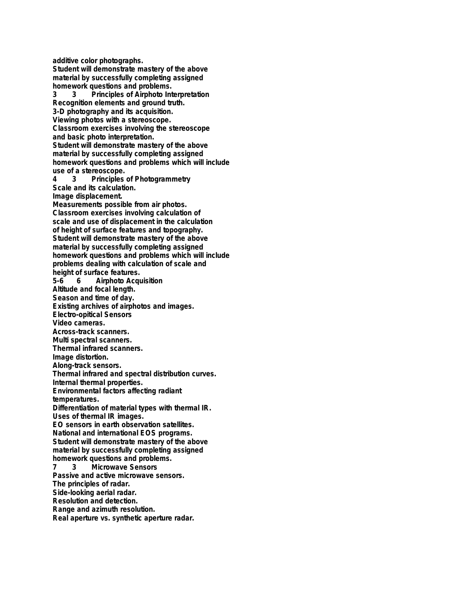**additive color photographs.**

**Student will demonstrate mastery of the above material by successfully completing assigned**

**homework questions and problems.**<br>3 3 Principles of Airphoto Inf **3 3 Principles of Airphoto Interpretation Recognition elements and ground truth. 3-D photography and its acquisition. Viewing photos with a stereoscope. Classroom exercises involving the stereoscope and basic photo interpretation. Student will demonstrate mastery of the above material by successfully completing assigned homework questions and problems which will include use of a stereoscope. 4 3 Principles of Photogrammetry Scale and its calculation. Image displacement. Measurements possible from air photos. Classroom exercises involving calculation of scale and use of displacement in the calculation of height of surface features and topography. Student will demonstrate mastery of the above material by successfully completing assigned**

**homework questions and problems which will include problems dealing with calculation of scale and height of surface features.**

**5-6 6 Airphoto Acquisition Altitude and focal length.**

**Season and time of day.**

**Existing archives of airphotos and images.**

**Electro-opitical Sensors**

**Video cameras.**

**Across-track scanners.**

**Multi spectral scanners. Thermal infrared scanners.**

**Image distortion.**

**Along-track sensors.**

**Thermal infrared and spectral distribution curves.**

**Internal thermal properties.**

**Environmental factors affecting radiant**

**temperatures.**

**Differentiation of material types with thermal IR. Uses of thermal IR images.**

**EO sensors in earth observation satellites. National and international EOS programs. Student will demonstrate mastery of the above material by successfully completing assigned**

**homework questions and problems.**<br>**7** 3 Microwave Sensors **7 3 Microwave Sensors**

**Passive and active microwave sensors.**

**The principles of radar.**

**Side-looking aerial radar.**

**Resolution and detection.**

**Range and azimuth resolution.**

**Real aperture vs. synthetic aperture radar.**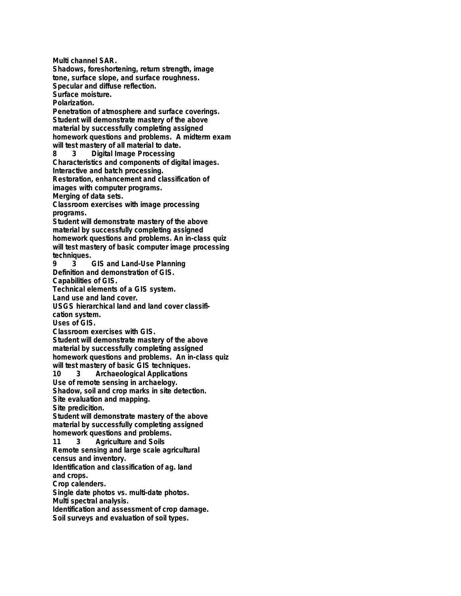**Multi channel SAR. Shadows, foreshortening, return strength, image tone, surface slope, and surface roughness. Specular and diffuse reflection. Surface moisture. Polarization. Penetration of atmosphere and surface coverings. Student will demonstrate mastery of the above material by successfully completing assigned homework questions and problems. A midterm exam will test mastery of all material to date. 8 3 Digital Image Processing Characteristics and components of digital images. Interactive and batch processing. Restoration, enhancement and classification of images with computer programs. Merging of data sets. Classroom exercises with image processing programs. Student will demonstrate mastery of the above material by successfully completing assigned homework questions and problems. An in-class quiz will test mastery of basic computer image processing techniques. 9 3 GIS and Land-Use Planning Definition and demonstration of GIS. Capabilities of GIS. Technical elements of a GIS system. Land use and land cover. USGS hierarchical land and land cover classification system. Uses of GIS. Classroom exercises with GIS. Student will demonstrate mastery of the above material by successfully completing assigned homework questions and problems. An in-class quiz will test mastery of basic GIS techniques. 10 3 Archaeological Applications Use of remote sensing in archaelogy. Shadow, soil and crop marks in site detection. Site evaluation and mapping. Site predicition. Student will demonstrate mastery of the above material by successfully completing assigned homework questions and problems. 11 3 Agriculture and Soils Remote sensing and large scale agricultural census and inventory. Identification and classification of ag. land and crops. Crop calenders. Single date photos vs. multi-date photos. Multi spectral analysis. Identification and assessment of crop damage. Soil surveys and evaluation of soil types.**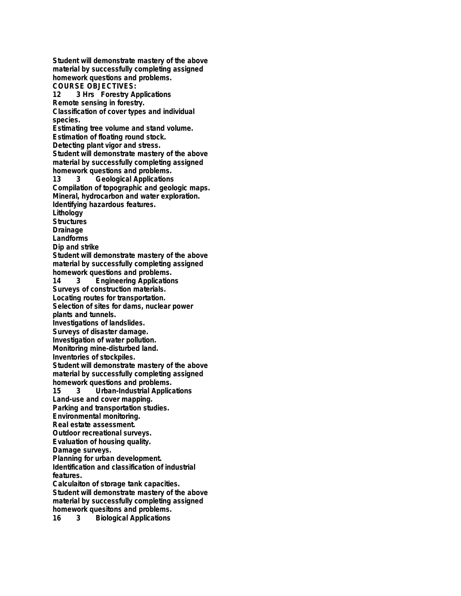**Student will demonstrate mastery of the above material by successfully completing assigned homework questions and problems. COURSE OBJECTIVES: 12 3 Hrs Forestry Applications Remote sensing in forestry. Classification of cover types and individual species. Estimating tree volume and stand volume. Estimation of floating round stock. Detecting plant vigor and stress. Student will demonstrate mastery of the above material by successfully completing assigned homework questions and problems. 13 3 Geological Applications Compilation of topographic and geologic maps. Mineral, hydrocarbon and water exploration. Identifying hazardous features. Lithology Structures Drainage Landforms Dip and strike Student will demonstrate mastery of the above material by successfully completing assigned homework questions and problems. 14 3 Engineering Applications Surveys of construction materials. Locating routes for transportation. Selection of sites for dams, nuclear power plants and tunnels. Investigations of landslides. Surveys of disaster damage. Investigation of water pollution. Monitoring mine-disturbed land. Inventories of stockpiles. Student will demonstrate mastery of the above material by successfully completing assigned homework questions and problems. 15 3 Urban-Industrial Applications Land-use and cover mapping. Parking and transportation studies. Environmental monitoring. Real estate assessment. Outdoor recreational surveys. Evaluation of housing quality. Damage surveys. Planning for urban development. Identification and classification of industrial features. Calculaiton of storage tank capacities. Student will demonstrate mastery of the above material by successfully completing assigned homework quesitons and problems. 16 3 Biological Applications**